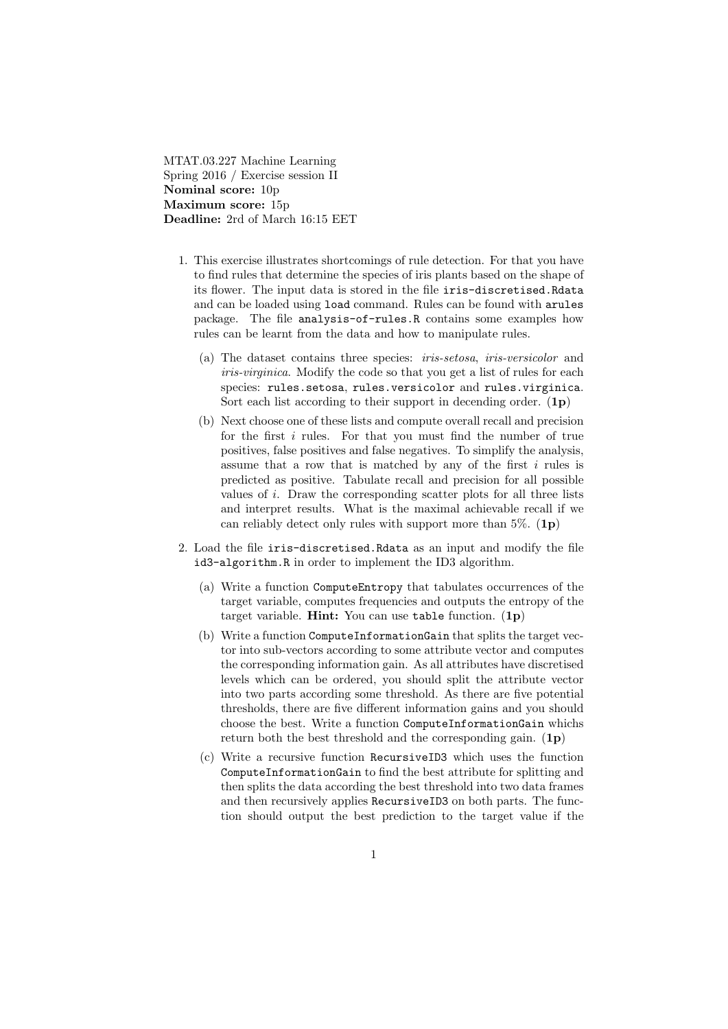MTAT.03.227 Machine Learning Spring 2016 / Exercise session II Nominal score: 10p Maximum score: 15p Deadline: 2rd of March 16:15 EET

- 1. This exercise illustrates shortcomings of rule detection. For that you have to find rules that determine the species of iris plants based on the shape of its flower. The input data is stored in the file iris-discretised.Rdata and can be loaded using load command. Rules can be found with arules package. The file analysis-of-rules.R contains some examples how rules can be learnt from the data and how to manipulate rules.
	- (a) The dataset contains three species: iris-setosa, iris-versicolor and iris-virginica. Modify the code so that you get a list of rules for each species: rules.setosa, rules.versicolor and rules.virginica. Sort each list according to their support in decending order.  $(1p)$
	- (b) Next choose one of these lists and compute overall recall and precision for the first  $i$  rules. For that you must find the number of true positives, false positives and false negatives. To simplify the analysis, assume that a row that is matched by any of the first i rules is predicted as positive. Tabulate recall and precision for all possible values of  $i$ . Draw the corresponding scatter plots for all three lists and interpret results. What is the maximal achievable recall if we can reliably detect only rules with support more than  $5\%$ . (1p)
- 2. Load the file iris-discretised.Rdata as an input and modify the file id3-algorithm.R in order to implement the ID3 algorithm.
	- (a) Write a function ComputeEntropy that tabulates occurrences of the target variable, computes frequencies and outputs the entropy of the target variable. Hint: You can use table function.  $(1p)$
	- (b) Write a function ComputeInformationGain that splits the target vector into sub-vectors according to some attribute vector and computes the corresponding information gain. As all attributes have discretised levels which can be ordered, you should split the attribute vector into two parts according some threshold. As there are five potential thresholds, there are five different information gains and you should choose the best. Write a function ComputeInformationGain whichs return both the best threshold and the corresponding gain.  $(1p)$
	- (c) Write a recursive function RecursiveID3 which uses the function ComputeInformationGain to find the best attribute for splitting and then splits the data according the best threshold into two data frames and then recursively applies RecursiveID3 on both parts. The function should output the best prediction to the target value if the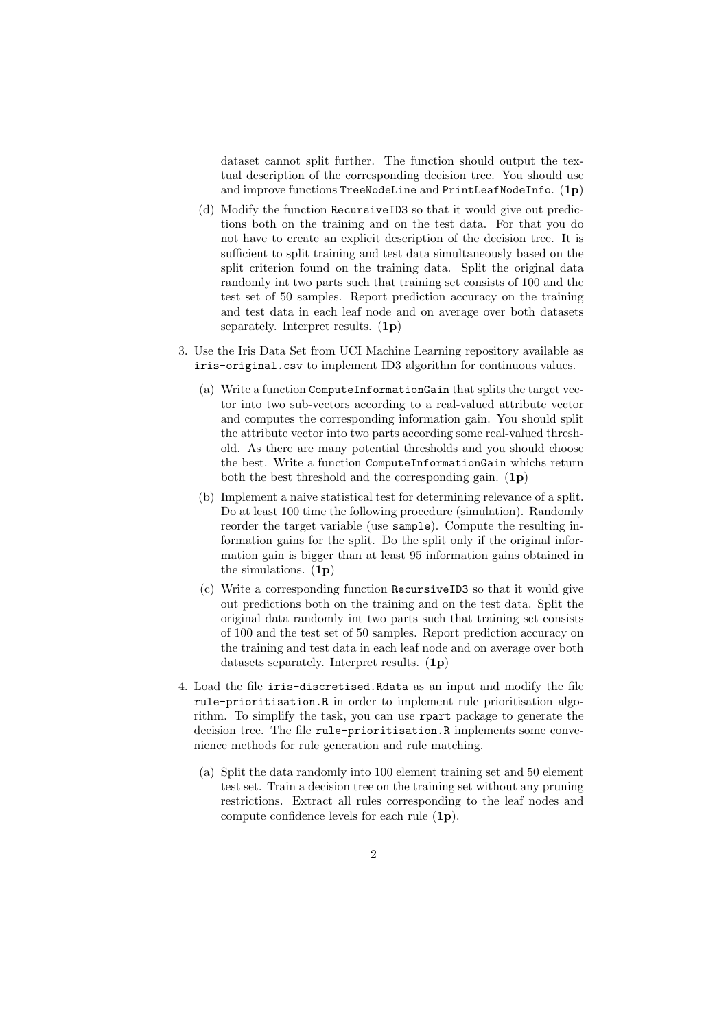dataset cannot split further. The function should output the textual description of the corresponding decision tree. You should use and improve functions TreeNodeLine and PrintLeafNodeInfo.  $(1p)$ 

- (d) Modify the function RecursiveID3 so that it would give out predictions both on the training and on the test data. For that you do not have to create an explicit description of the decision tree. It is sufficient to split training and test data simultaneously based on the split criterion found on the training data. Split the original data randomly int two parts such that training set consists of 100 and the test set of 50 samples. Report prediction accuracy on the training and test data in each leaf node and on average over both datasets separately. Interpret results. (1p)
- 3. Use the Iris Data Set from UCI Machine Learning repository available as iris-original.csv to implement ID3 algorithm for continuous values.
	- (a) Write a function ComputeInformationGain that splits the target vector into two sub-vectors according to a real-valued attribute vector and computes the corresponding information gain. You should split the attribute vector into two parts according some real-valued threshold. As there are many potential thresholds and you should choose the best. Write a function ComputeInformationGain whichs return both the best threshold and the corresponding gain.  $(1p)$
	- (b) Implement a naive statistical test for determining relevance of a split. Do at least 100 time the following procedure (simulation). Randomly reorder the target variable (use sample). Compute the resulting information gains for the split. Do the split only if the original information gain is bigger than at least 95 information gains obtained in the simulations.  $(1p)$
	- (c) Write a corresponding function RecursiveID3 so that it would give out predictions both on the training and on the test data. Split the original data randomly int two parts such that training set consists of 100 and the test set of 50 samples. Report prediction accuracy on the training and test data in each leaf node and on average over both datasets separately. Interpret results. (1p)
- 4. Load the file iris-discretised.Rdata as an input and modify the file rule-prioritisation.R in order to implement rule prioritisation algorithm. To simplify the task, you can use rpart package to generate the decision tree. The file rule-prioritisation.R implements some convenience methods for rule generation and rule matching.
	- (a) Split the data randomly into 100 element training set and 50 element test set. Train a decision tree on the training set without any pruning restrictions. Extract all rules corresponding to the leaf nodes and compute confidence levels for each rule (1p).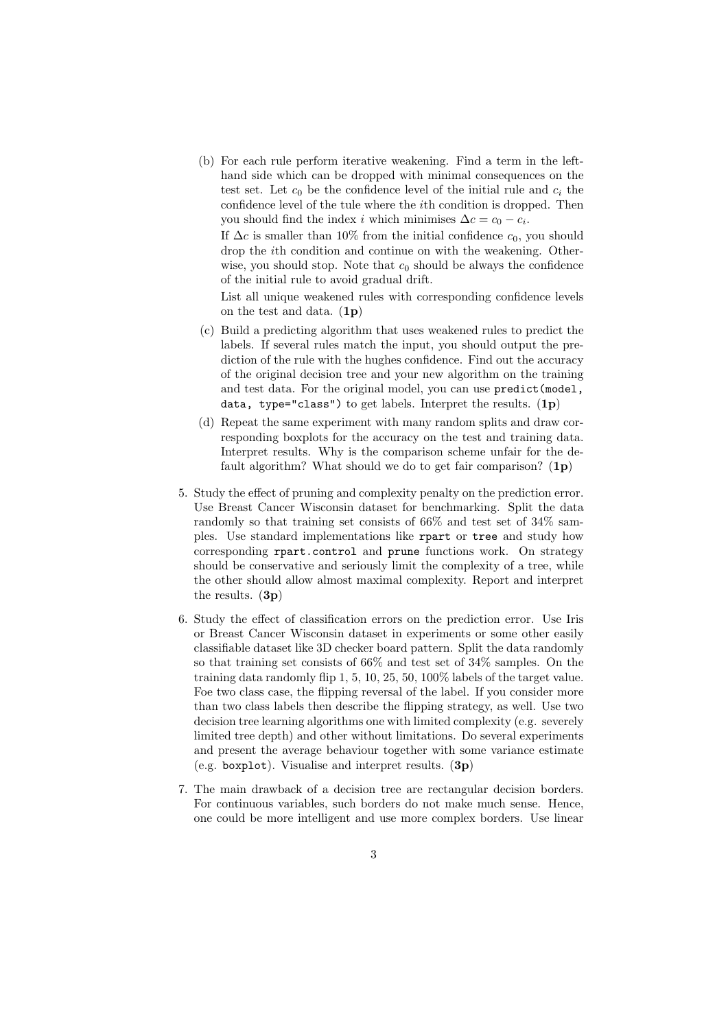(b) For each rule perform iterative weakening. Find a term in the lefthand side which can be dropped with minimal consequences on the test set. Let  $c_0$  be the confidence level of the initial rule and  $c_i$  the confidence level of the tule where the ith condition is dropped. Then you should find the index *i* which minimises  $\Delta c = c_0 - c_i$ .

If  $\Delta c$  is smaller than 10% from the initial confidence  $c_0$ , you should drop the ith condition and continue on with the weakening. Otherwise, you should stop. Note that  $c_0$  should be always the confidence of the initial rule to avoid gradual drift.

List all unique weakened rules with corresponding confidence levels on the test and data. (1p)

- (c) Build a predicting algorithm that uses weakened rules to predict the labels. If several rules match the input, you should output the prediction of the rule with the hughes confidence. Find out the accuracy of the original decision tree and your new algorithm on the training and test data. For the original model, you can use predict(model, data, type="class") to get labels. Interpret the results.  $(1p)$
- (d) Repeat the same experiment with many random splits and draw corresponding boxplots for the accuracy on the test and training data. Interpret results. Why is the comparison scheme unfair for the default algorithm? What should we do to get fair comparison?  $(1p)$
- 5. Study the effect of pruning and complexity penalty on the prediction error. Use Breast Cancer Wisconsin dataset for benchmarking. Split the data randomly so that training set consists of 66% and test set of 34% samples. Use standard implementations like rpart or tree and study how corresponding rpart.control and prune functions work. On strategy should be conservative and seriously limit the complexity of a tree, while the other should allow almost maximal complexity. Report and interpret the results.  $(3p)$
- 6. Study the effect of classification errors on the prediction error. Use Iris or Breast Cancer Wisconsin dataset in experiments or some other easily classifiable dataset like 3D checker board pattern. Split the data randomly so that training set consists of 66% and test set of 34% samples. On the training data randomly flip 1, 5, 10, 25, 50, 100% labels of the target value. Foe two class case, the flipping reversal of the label. If you consider more than two class labels then describe the flipping strategy, as well. Use two decision tree learning algorithms one with limited complexity (e.g. severely limited tree depth) and other without limitations. Do several experiments and present the average behaviour together with some variance estimate (e.g. boxplot). Visualise and interpret results.  $(3p)$
- 7. The main drawback of a decision tree are rectangular decision borders. For continuous variables, such borders do not make much sense. Hence, one could be more intelligent and use more complex borders. Use linear